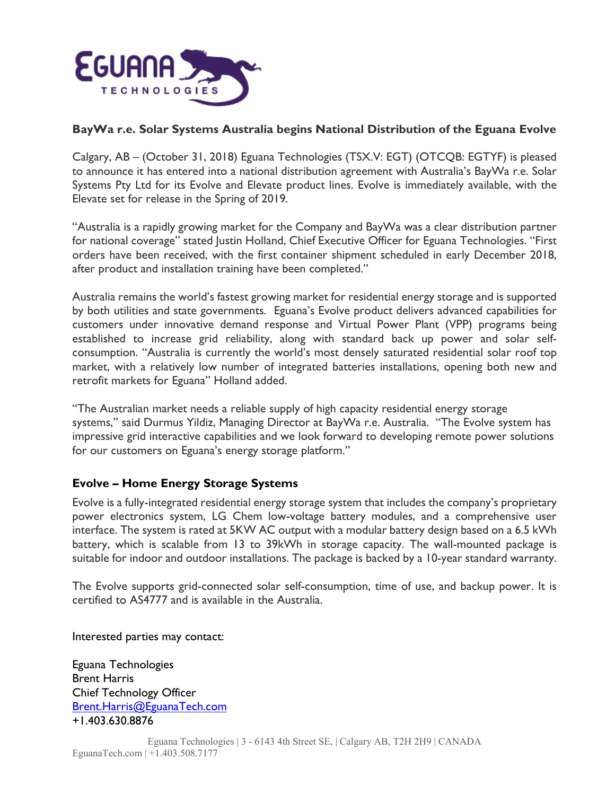

## **BayWa r.e. Solar Systems Australia begins National Distribution of the Eguana Evolve**

Calgary, AB – (October 31, 2018) Eguana Technologies (TSX.V: EGT) (OTCQB: EGTYF) is pleased to announce it has entered into a national distribution agreement with Australia's BayWa r.e. Solar Systems Pty Ltd for its Evolve and Elevate product lines. Evolve is immediately available, with the Elevate set for release in the Spring of 2019.

"Australia is a rapidly growing market for the Company and BayWa was a clear distribution partner for national coverage" stated Justin Holland, Chief Executive Officer for Eguana Technologies. "First orders have been received, with the first container shipment scheduled in early December 2018, after product and installation training have been completed."

Australia remains the world's fastest growing market for residential energy storage and is supported by both utilities and state governments. Eguana's Evolve product delivers advanced capabilities for customers under innovative demand response and Virtual Power Plant (VPP) programs being established to increase grid reliability, along with standard back up power and solar selfconsumption. "Australia is currently the world's most densely saturated residential solar roof top market, with a relatively low number of integrated batteries installations, opening both new and retrofit markets for Eguana" Holland added.

"The Australian market needs a reliable supply of high capacity residential energy storage systems," said Durmus Yildiz, Managing Director at BayWa r.e. Australia. "The Evolve system has impressive grid interactive capabilities and we look forward to developing remote power solutions for our customers on Eguana's energy storage platform."

# **Evolve – Home Energy Storage Systems**

Evolve is a fully-integrated residential energy storage system that includes the company's proprietary power electronics system, LG Chem low-voltage battery modules, and a comprehensive user interface. The system is rated at 5KW AC output with a modular battery design based on a 6.5 kWh battery, which is scalable from 13 to 39kWh in storage capacity. The wall-mounted package is suitable for indoor and outdoor installations. The package is backed by a 10-year standard warranty.

The Evolve supports grid-connected solar self-consumption, time of use, and backup power. It is certified to AS4777 and is available in the Australia.

Interested parties may contact:

Eguana Technologies Brent Harris Chief Technology Officer Brent.Harris@EguanaTech.com +1.403.630.8876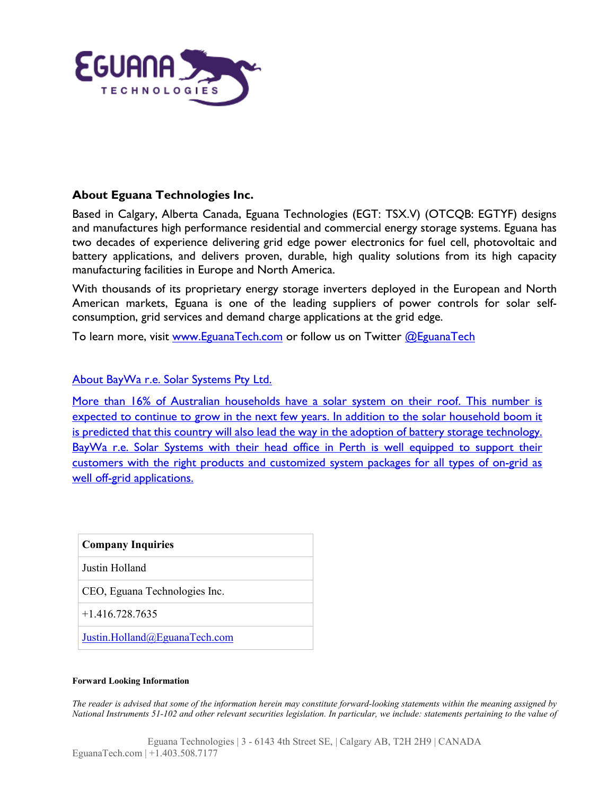

### **About Eguana Technologies Inc.**

Based in Calgary, Alberta Canada, Eguana Technologies (EGT: TSX.V) (OTCQB: EGTYF) designs and manufactures high performance residential and commercial energy storage systems. Eguana has two decades of experience delivering grid edge power electronics for fuel cell, photovoltaic and battery applications, and delivers proven, durable, high quality solutions from its high capacity manufacturing facilities in Europe and North America.

With thousands of its proprietary energy storage inverters deployed in the European and North American markets, Eguana is one of the leading suppliers of power controls for solar selfconsumption, grid services and demand charge applications at the grid edge.

To learn more, visit [www.EguanaTech.com](http://www.eguanatech.com/) or follow us on Twitter [@EguanaTech](https://twitter.com/EguanaTech)

### About BayWa r.e. Solar Systems Pty Ltd.

More than 16% of Australian households have a solar system on their roof. This number is expected to continue to grow in the next few years. In addition to the solar household boom it is predicted that this country will also lead the way in the adoption of battery storage technology. BayWa r.e. Solar Systems with their head office in Perth is well equipped to support their customers with the right products and customized system packages for all types of on-grid as well off-grid applications.

| <b>Company Inquiries</b>      |  |
|-------------------------------|--|
| Justin Holland                |  |
| CEO, Eguana Technologies Inc. |  |
| $+1$ 416.728.7635             |  |
| Justin.Holland@EguanaTech.com |  |

#### **Forward Looking Information**

The reader is advised that some of the information herein may constitute forward-looking statements within the meaning assigned by National Instruments 51-102 and other relevant securities legislation. In particular, we include: statements pertaining to the value of